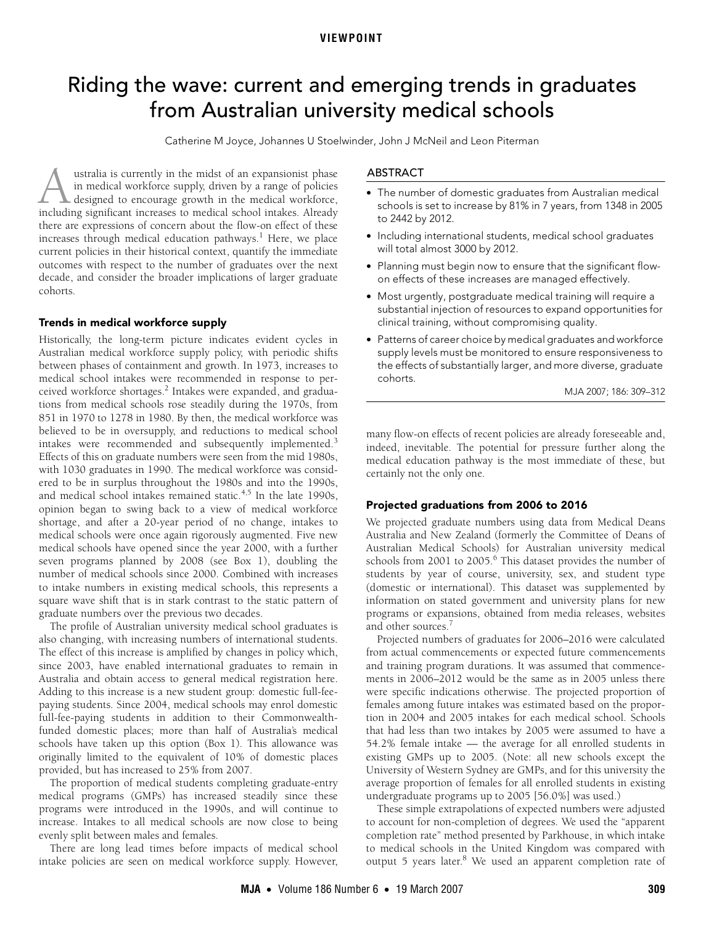# <span id="page-0-0"></span>Riding the wave: current and emerging trends in graduates from Australian university medical schools

Catherine M Joyce, Johannes U Stoelwinder, John J McNeil and Leon Piterman

outcomes with respect to the number of graduates over the next decade, and consider the broad[er i](#page-0-0)[mpli](#page-3-8)cations of larger graduate  $\mathsf{TS}$ . ustralia is currently in the midst of an expansionist phase in medical workforce supply, driven by a range of policies designed to encourage growth in the medical workforce, **in medical workforce supply, driven by a range of policies** in medical workforce supply, driven by a range of policies designed to encourage growth in the medical workforce, including significant increases to medical scho there are expressions of concern about the flow-on effect of these increases through medical education pathways. $^1$  $^1$  Here, we place current policies in their historical context, quantify the immediate cohorts.

# Trends in medical workforce supply

Historically, the long-term picture indicates evident cycles in Australian medical workforce supply policy, with periodic shifts between phases of containment and growth. In 1973, increases to medical school intakes were recommended in response to per-ceived workforce shortages.<sup>[2](#page-3-1)</sup> Intakes were expanded, and graduations from medical schools rose steadily during the 1970s, from 851 in 1970 to 1278 in 1980. By then, the medical workforce was believed to be in oversupply, and reductions to medical school intakes were recommended and subsequently implemented.<sup>[3](#page-3-2)</sup> Effects of this on graduate numbers were seen from the mid 1980s, with 1030 graduates in 1990. The medical workforce was considered to be in surplus throughout the 1980s and into the 1990s, and medical school intakes remained static.<sup>[4,](#page-3-3)5</sup> In the late 1990s, opinion began to swing back to a view of medical workforce shortage, and after a 20-year period of no change, intakes to medical schools were once again rigorously augmented. Five new medical schools have opened since the year 2000, with a further seven programs planned by 2008 (see [Box 1](#page-1-0)), doubling the number of medical schools since 2000. Combined with increases to intake numbers in existing medical schools, this represents a square wave shift that is in stark contrast to the static pattern of graduate numbers over the previous two decades.

The profile of Australian university medical school graduates is also changing, with increasing numbers of international students. The effect of this increase is amplified by changes in policy which, since 2003, have enabled international graduates to remain in Australia and obtain access to general medical registration here. Adding to this increase is a new student group: domestic full-feepaying students. Since 2004, medical schools may enrol domestic full-fee-paying students in addition to their Commonwealthfunded domestic places; more than half of Australia's medical schools have taken up this option ([Box 1\)](#page-1-0). This allowance was originally limited to the equivalent of 10% of domestic places provided, but has increased to 25% from 2007.

The proportion of medical students completing graduate-entry medical programs (GMPs) has increased steadily since these programs were introduced in the 1990s, and will continue to increase. Intakes to all medical schools are now close to being evenly split between males and females.

There are long lead times before impacts of medical school intake policies are seen on medical workforce supply. However,

#### ABSTRACT

- The number of domestic graduates from Australian medical schools is set to increase by 81% in 7 years, from 1348 in 2005 to 2442 by 2012.
- Including international students, medical school graduates will total almost 3000 by 2012.
- Planning must begin now to ensure that the significant flowon effects of these increases are managed effectively.
- Most urgently, postgraduate medical training will require a substantial injection of resources to expand opportunities for clinical training, without compromising quality.
- Patterns of career choice by medical graduates and workforce supply levels must be monitored to ensure responsiveness to the effects of substantially larger, and more diverse, graduate cohorts.

MJA 2007; 186: 309–312

many flow-on effects of recent policies are already foreseeable and, indeed, inevitable. The potential for pressure further along the medical education pathway is the most immediate of these, but certainly not the only one.

#### Projected graduations from 2006 to 2016

We projected graduate numbers using data from Medical Deans Australia and New Zealand (formerly the Committee of Deans of Australian Medical Schools) for Australian university medical schools from 2001 to 2005.<sup>[6](#page-3-5)</sup> This dataset provides the number of students by year of course, university, sex, and student type (domestic or international). This dataset was supplemented by information on stated government and university plans for new programs or expansions, obtained from media releases, websites and other sources.[7](#page-3-6)

Projected numbers of graduates for 2006–2016 were calculated from actual commencements or expected future commencements and training program durations. It was assumed that commencements in 2006–2012 would be the same as in 2005 unless there were specific indications otherwise. The projected proportion of females among future intakes was estimated based on the proportion in 2004 and 2005 intakes for each medical school. Schools that had less than two intakes by 2005 were assumed to have a 54.2% female intake — the average for all enrolled students in existing GMPs up to 2005. (Note: all new schools except the University of Western Sydney are GMPs, and for this university the average proportion of females for all enrolled students in existing undergraduate programs up to 2005 [56.0%] was used.)

These simple extrapolations of expected numbers were adjusted to account for non-completion of degrees. We used the "apparent completion rate" method presented by Parkhouse, in which intake to medical schools in the United Kingdom was compared with output 5 years later.<sup>8</sup> We used an apparent completion rate of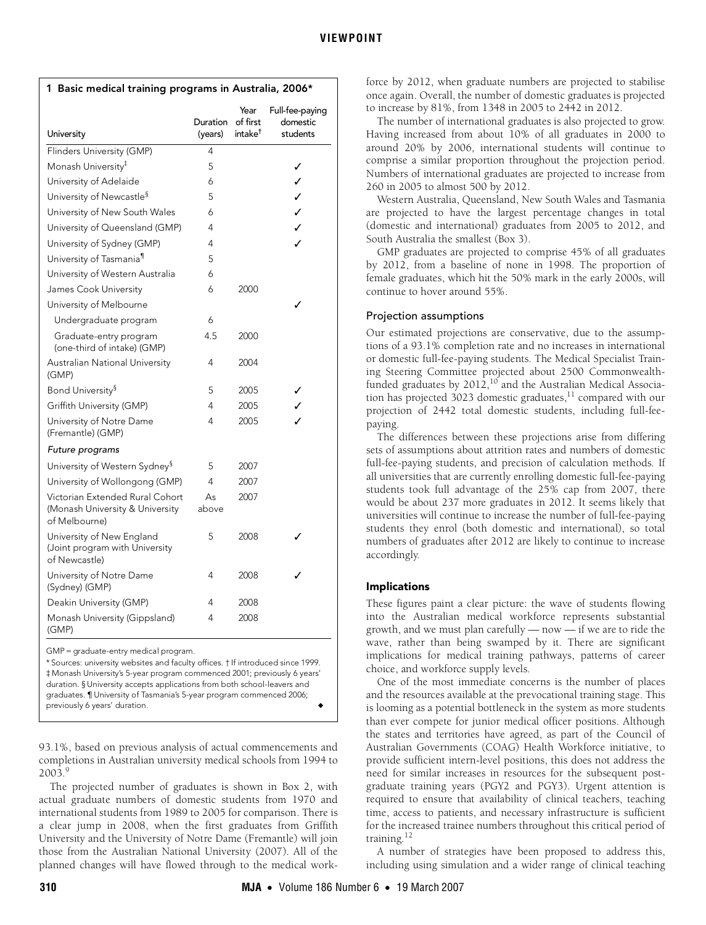<span id="page-1-0"></span>

| 1 Basic medical training programs in Australia, 2006*                        |                     |                                         |                                         |  |  |
|------------------------------------------------------------------------------|---------------------|-----------------------------------------|-----------------------------------------|--|--|
| University                                                                   | Duration<br>(years) | Year<br>of first<br>intake <sup>†</sup> | Full-fee-paying<br>domestic<br>students |  |  |
| Flinders University (GMP)                                                    | 4                   |                                         |                                         |  |  |
| Monash University <sup>‡</sup>                                               | 5                   |                                         | ✓                                       |  |  |
| University of Adelaide                                                       | 6                   |                                         | ✓                                       |  |  |
| University of Newcastle <sup>§</sup>                                         | 5                   |                                         | $\checkmark$                            |  |  |
| University of New South Wales                                                | 6                   |                                         | $\checkmark$                            |  |  |
| University of Queensland (GMP)                                               | 4                   |                                         | $\checkmark$                            |  |  |
| University of Sydney (GMP)                                                   | 4                   |                                         |                                         |  |  |
| University of Tasmania <sup>11</sup>                                         | 5                   |                                         |                                         |  |  |
| University of Western Australia                                              | 6                   |                                         |                                         |  |  |
| James Cook University                                                        | 6                   | 2000                                    |                                         |  |  |
| University of Melbourne                                                      |                     |                                         |                                         |  |  |
| Undergraduate program                                                        | 6                   |                                         |                                         |  |  |
| Graduate-entry program<br>(one-third of intake) (GMP)                        | 4.5                 | 2000                                    |                                         |  |  |
| Australian National University<br>(GMP)                                      | 4                   | 2004                                    |                                         |  |  |
| Bond University <sup>§</sup>                                                 | 5                   | 2005                                    |                                         |  |  |
| Griffith University (GMP)                                                    | 4                   | 2005                                    |                                         |  |  |
| University of Notre Dame<br>(Fremantle) (GMP)                                | 4                   | 2005                                    |                                         |  |  |
| Future programs                                                              |                     |                                         |                                         |  |  |
| University of Western Sydney <sup>§</sup>                                    | 5                   | 2007                                    |                                         |  |  |
| University of Wollongong (GMP)                                               | 4                   | 2007                                    |                                         |  |  |
| Victorian Extended Rural Cohort                                              | As                  | 2007                                    |                                         |  |  |
| (Monash University & University<br>of Melbourne)                             | above               |                                         |                                         |  |  |
| University of New England<br>(Joint program with University<br>of Newcastle) | 5                   | 2008                                    |                                         |  |  |
| University of Notre Dame<br>(Sydney) (GMP)                                   | 4                   | 2008                                    |                                         |  |  |
| Deakin University (GMP)                                                      | 4                   | 2008                                    |                                         |  |  |
| Monash University (Gippsland)<br>(GMP)                                       | 4                   | 2008                                    |                                         |  |  |

GMP = graduate-entry medical program.

\* Sources: university websites and faculty offices. † If introduced since 1999. ‡ Monash University's 5-year program commenced 2001; previously 6 years' duration. § University accepts applications from both school-leavers and graduates. ¶ University of Tasmania's 5-year program commenced 2006; previously 6 years' duration.

93.1%, based on previous analysis of actual commencements and completions in Australian university medical schools from 1994 to  $2003.<sup>9</sup>$  $2003.<sup>9</sup>$  $2003.<sup>9</sup>$ 

The projected number of graduates is shown in [Box 2](#page-2-0), with actual graduate numbers of domestic students from 1970 and international students from 1989 to 2005 for comparison. There is a clear jump in 2008, when the first graduates from Griffith University and the University of Notre Dame (Fremantle) will join those from the Australian National University (2007). All of the planned changes will have flowed through to the medical workforce by 2012, when graduate numbers are projected to stabilise once again. Overall, the number of domestic graduates is projected to increase by 81%, from 1348 in 2005 to 2442 in 2012.

The number of international graduates is also projected to grow. Having increased from about 10% of all graduates in 2000 to around 20% by 2006, international students will continue to comprise a similar proportion throughout the projection period. Numbers of international graduates are projected to increase from 260 in 2005 to almost 500 by 2012.

Western Australia, Queensland, New South Wales and Tasmania are projected to have the largest percentage changes in total (domestic and international) graduates from 2005 to 2012, and South Australia the smallest [\(Box 3\)](#page-2-1).

GMP graduates are projected to comprise 45% of all graduates by 2012, from a baseline of none in 1998. The proportion of female graduates, which hit the 50% mark in the early 2000s, will continue to hover around 55%.

# Projection assumptions

Our estimated projections are conservative, due to the assumptions of a 93.1% completion rate and no increases in international or domestic full-fee-paying students. The Medical Specialist Training Steering Committee projected about 2500 Commonwealthfunded graduates by 2012, $10^{6}$  and the Australian Medical Association has projected 3023 domestic graduates, $11$  compared with our projection of 2442 total domestic students, including full-feepaying.

The differences between these projections arise from differing sets of assumptions about attrition rates and numbers of domestic full-fee-paying students, and precision of calculation methods. If all universities that are currently enrolling domestic full-fee-paying students took full advantage of the 25% cap from 2007, there would be about 237 more graduates in 2012. It seems likely that universities will continue to increase the number of full-fee-paying students they enrol (both domestic and international), so total numbers of graduates after 2012 are likely to continue to increase accordingly.

#### Implications

These figures paint a clear picture: the wave of students flowing into the Australian medical workforce represents substantial growth, and we must plan carefully — now — if we are to ride the wave, rather than being swamped by it. There are significant implications for medical training pathways, patterns of career choice, and workforce supply levels.

One of the most immediate concerns is the number of places and the resources available at the prevocational training stage. This is looming as a potential bottleneck in the system as more students than ever compete for junior medical officer positions. Although the states and territories have agreed, as part of the Council of Australian Governments (COAG) Health Workforce initiative, to provide sufficient intern-level positions, this does not address the need for similar increases in resources for the subsequent postgraduate training years (PGY2 and PGY3). Urgent attention is required to ensure that availability of clinical teachers, teaching time, access to patients, and necessary infrastructure is sufficient for the increased trainee numbers throughout this critical period of training[.12](#page-3-12)

A number of strategies have been proposed to address this, including using simulation and a wider range of clinical teaching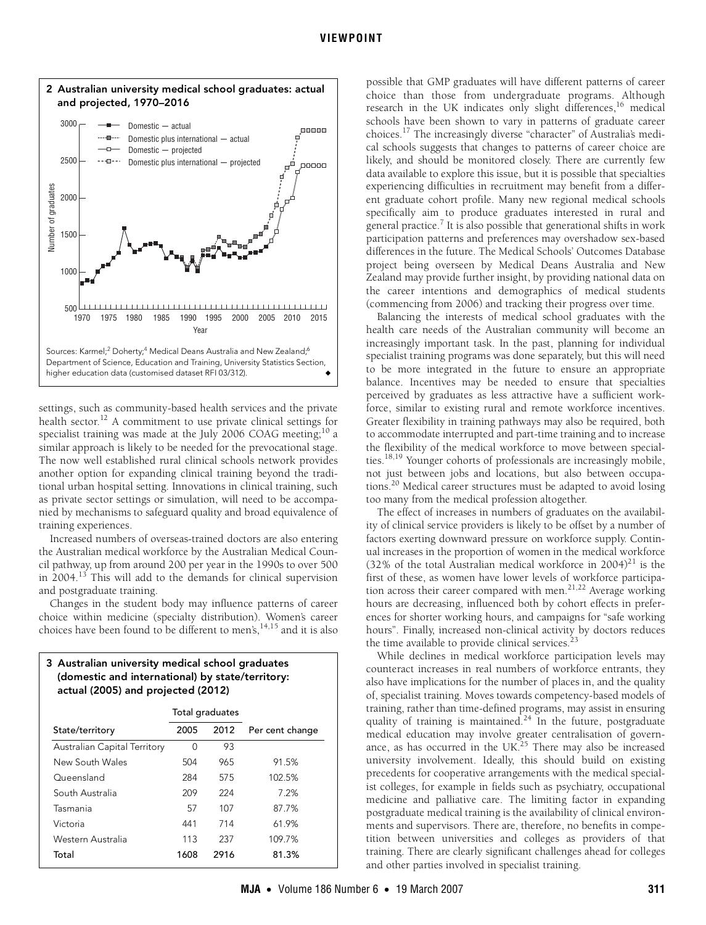<span id="page-2-0"></span>

settings, such as community-based health services and the private health sector.<sup>12</sup> A commitment to use private clinical settings for specialist training was made at the July 2006 COAG meeting;<sup>10</sup> a similar approach is likely to be needed for the prevocational stage. The now well established rural clinical schools network provides another option for expanding clinical training beyond the traditional urban hospital setting. Innovations in clinical training, such as private sector settings or simulation, will need to be accompanied by mechanisms to safeguard quality and broad equivalence of training experiences.

Increased numbers of overseas-trained doctors are also entering the Australian medical workforce by the Australian Medical Council pathway, up from around 200 per year in the 1990s to over 500 in 2004.[13](#page-3-13) This will add to the demands for clinical supervision and postgraduate training.

Changes in the student body may influence patterns of career choice within medicine (specialty distribution). Women's career choices have been found to be different to men's,  $14,15$  $14,15$  and it is also

# <span id="page-2-1"></span>3 Australian university medical school graduates (domestic and international) by state/territory: actual (2005) and projected (2012)

|                              | Total graduates |      |                 |
|------------------------------|-----------------|------|-----------------|
| State/territory              | 2005            | 2012 | Per cent change |
| Australian Capital Territory | 0               | 93   |                 |
| New South Wales              | 504             | 965  | 91.5%           |
| Queensland                   | 284             | 575  | 102.5%          |
| South Australia              | 209             | 224  | 7.2%            |
| Tasmania                     | 57              | 107  | 87.7%           |
| Victoria                     | 441             | 714  | 61.9%           |
| Western Australia            | 113             | 237  | 109.7%          |
| Total                        | 1608            | 2916 | 81.3%           |

possible that GMP graduates will have different patterns of career choice than those from undergraduate programs. Although research in the UK indicates only slight differences, $16$  medical schools have been shown to vary in patterns of graduate career choices[.17](#page-3-17) The increasingly diverse "character" of Australia's medical schools suggests that changes to patterns of career choice are likely, and should be monitored closely. There are currently few data available to explore this issue, but it is possible that specialties experiencing difficulties in recruitment may benefit from a different graduate cohort profile. Many new regional medical schools specifically aim to produce graduates interested in rural and general practice.<sup>7</sup> It is also possible that generational shifts in work participation patterns and preferences may overshadow sex-based differences in the future. The Medical Schools' Outcomes Database project being overseen by Medical Deans Australia and New Zealand may provide further insight, by providing national data on the career intentions and demographics of medical students (commencing from 2006) and tracking their progress over time.

Balancing the interests of medical school graduates with the health care needs of the Australian community will become an increasingly important task. In the past, planning for individual specialist training programs was done separately, but this will need to be more integrated in the future to ensure an appropriate balance. Incentives may be needed to ensure that specialties perceived by graduates as less attractive have a sufficient workforce, similar to existing rural and remote workforce incentives. Greater flexibility in training pathways may also be required, both to accommodate interrupted and part-time training and to increase the flexibility of the medical workforce to move between specialties[.18](#page-3-18),[19](#page-3-19) Younger cohorts of professionals are increasingly mobile, not just between jobs and locations, but also between occupations[.20](#page-3-20) Medical career structures must be adapted to avoid losing too many from the medical profession altogether.

The effect of increases in numbers of graduates on the availability of clinical service providers is likely to be offset by a number of factors exerting downward pressure on workforce supply. Continual increases in the proportion of women in the medical workforce (32% of the total Australian medical workforce in 2004)<sup>[21](#page-3-21)</sup> is the first of these, as women have lower levels of workforce participa-tion across their career compared with men.<sup>[21,](#page-3-21)[22](#page-3-22)</sup> Average working hours are decreasing, influenced both by cohort effects in preferences for shorter working hours, and campaigns for "safe working hours". Finally, increased non-clinical activity by doctors reduces the time available to provide clinical services.<sup>2</sup>

While declines in medical workforce participation levels may counteract increases in real numbers of workforce entrants, they also have implications for the number of places in, and the quality of, specialist training. Moves towards competency-based models of training, rather than time-defined programs, may assist in ensuring quality of training is maintained.<sup>[24](#page-3-24)</sup> In the future, postgraduate medical education may involve greater centralisation of governance, as has occurred in the UK. $^{25}$  There may also be increased university involvement. Ideally, this should build on existing precedents for cooperative arrangements with the medical specialist colleges, for example in fields such as psychiatry, occupational medicine and palliative care. The limiting factor in expanding postgraduate medical training is the availability of clinical environments and supervisors. There are, therefore, no benefits in competition between universities and colleges as providers of that training. There are clearly significant challenges ahead for colleges and other parties involved in specialist training.